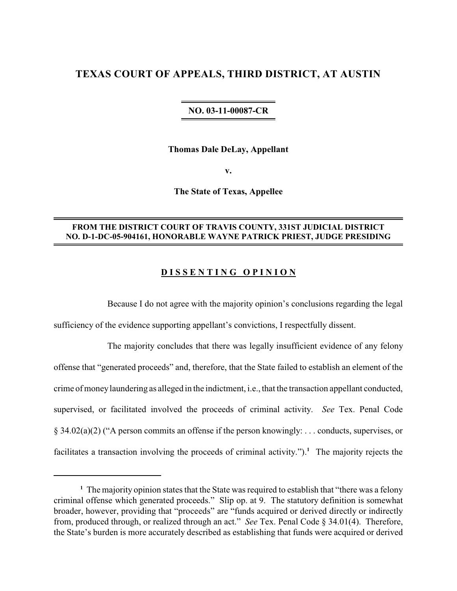## **TEXAS COURT OF APPEALS, THIRD DISTRICT, AT AUSTIN**

## **NO. 03-11-00087-CR**

**Thomas Dale DeLay, Appellant**

**v.**

**The State of Texas, Appellee**

## **FROM THE DISTRICT COURT OF TRAVIS COUNTY, 331ST JUDICIAL DISTRICT NO. D-1-DC-05-904161, HONORABLE WAYNE PATRICK PRIEST, JUDGE PRESIDING**

## **D I S S E N T I N G O P I N I O N**

Because I do not agree with the majority opinion's conclusions regarding the legal sufficiency of the evidence supporting appellant's convictions, I respectfully dissent.

The majority concludes that there was legally insufficient evidence of any felony offense that "generated proceeds" and, therefore, that the State failed to establish an element of the crime of moneylaundering as alleged in the indictment, i.e., that the transaction appellant conducted, supervised, or facilitated involved the proceeds of criminal activity. *See* Tex. Penal Code § 34.02(a)(2) ("A person commits an offense if the person knowingly: . . . conducts, supervises, or facilitates a transaction involving the proceeds of criminal activity.").<sup>1</sup> The majority rejects the

<sup>&</sup>lt;sup>1</sup> The majority opinion states that the State was required to establish that "there was a felony criminal offense which generated proceeds." Slip op. at 9. The statutory definition is somewhat broader, however, providing that "proceeds" are "funds acquired or derived directly or indirectly from, produced through, or realized through an act." *See* Tex. Penal Code § 34.01(4). Therefore, the State's burden is more accurately described as establishing that funds were acquired or derived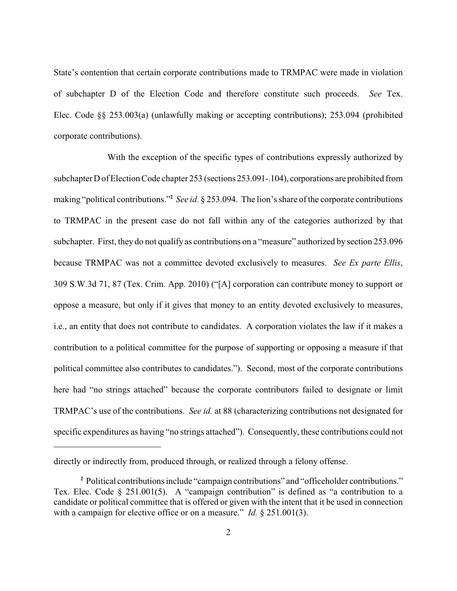State's contention that certain corporate contributions made to TRMPAC were made in violation of subchapter D of the Election Code and therefore constitute such proceeds. *See* Tex. Elec. Code §§ 253.003(a) (unlawfully making or accepting contributions); 253.094 (prohibited corporate contributions).

With the exception of the specific types of contributions expressly authorized by subchapter D of Election Code chapter 253 (sections 253.091-.104), corporations are prohibited from making "political contributions."<sup>2</sup> See id. § 253.094. The lion's share of the corporate contributions to TRMPAC in the present case do not fall within any of the categories authorized by that subchapter. First, they do not qualify as contributions on a "measure" authorized by section 253.096 because TRMPAC was not a committee devoted exclusively to measures. *See Ex parte Ellis*, 309 S.W.3d 71, 87 (Tex. Crim. App. 2010) ("[A] corporation can contribute money to support or oppose a measure, but only if it gives that money to an entity devoted exclusively to measures, i.e., an entity that does not contribute to candidates. A corporation violates the law if it makes a contribution to a political committee for the purpose of supporting or opposing a measure if that political committee also contributes to candidates."). Second, most of the corporate contributions here had "no strings attached" because the corporate contributors failed to designate or limit TRMPAC's use of the contributions. *See id.* at 88 (characterizing contributions not designated for specific expenditures as having "no strings attached"). Consequently, these contributions could not

directly or indirectly from, produced through, or realized through a felony offense.

Political contributions include "campaign contributions" and "officeholder contributions." **<sup>2</sup>** Tex. Elec. Code § 251.001(5). A "campaign contribution" is defined as "a contribution to a candidate or political committee that is offered or given with the intent that it be used in connection with a campaign for elective office or on a measure." *Id.* § 251.001(3).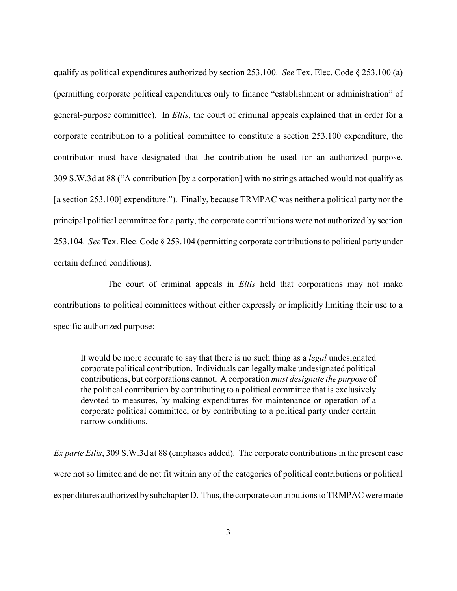qualify as political expenditures authorized by section 253.100. *See* Tex. Elec. Code § 253.100 (a) (permitting corporate political expenditures only to finance "establishment or administration" of general-purpose committee). In *Ellis*, the court of criminal appeals explained that in order for a corporate contribution to a political committee to constitute a section 253.100 expenditure, the contributor must have designated that the contribution be used for an authorized purpose. 309 S.W.3d at 88 ("A contribution [by a corporation] with no strings attached would not qualify as [a section 253.100] expenditure."). Finally, because TRMPAC was neither a political party nor the principal political committee for a party, the corporate contributions were not authorized by section 253.104. *See* Tex. Elec. Code § 253.104 (permitting corporate contributions to political party under certain defined conditions).

The court of criminal appeals in *Ellis* held that corporations may not make contributions to political committees without either expressly or implicitly limiting their use to a specific authorized purpose:

It would be more accurate to say that there is no such thing as a *legal* undesignated corporate political contribution. Individuals can legallymake undesignated political contributions, but corporations cannot. A corporation *must designate the purpose* of the political contribution by contributing to a political committee that is exclusively devoted to measures, by making expenditures for maintenance or operation of a corporate political committee, or by contributing to a political party under certain narrow conditions.

*Ex parte Ellis*, 309 S.W.3d at 88 (emphases added). The corporate contributions in the present case were not so limited and do not fit within any of the categories of political contributions or political expenditures authorized bysubchapter D. Thus, the corporate contributions to TRMPAC were made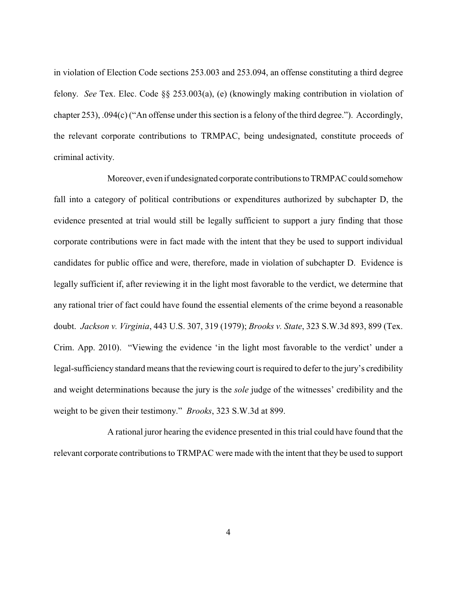in violation of Election Code sections 253.003 and 253.094, an offense constituting a third degree felony. *See* Tex. Elec. Code §§ 253.003(a), (e) (knowingly making contribution in violation of chapter 253), .094(c) ("An offense under this section is a felony of the third degree."). Accordingly, the relevant corporate contributions to TRMPAC, being undesignated, constitute proceeds of criminal activity.

Moreover, even if undesignated corporate contributionstoTRMPAC could somehow fall into a category of political contributions or expenditures authorized by subchapter D, the evidence presented at trial would still be legally sufficient to support a jury finding that those corporate contributions were in fact made with the intent that they be used to support individual candidates for public office and were, therefore, made in violation of subchapter D. Evidence is legally sufficient if, after reviewing it in the light most favorable to the verdict, we determine that any rational trier of fact could have found the essential elements of the crime beyond a reasonable doubt. *Jackson v. Virginia*, 443 U.S. 307, 319 (1979); *Brooks v. State*, 323 S.W.3d 893, 899 (Tex. Crim. App. 2010). "Viewing the evidence 'in the light most favorable to the verdict' under a legal-sufficiency standard means that the reviewing court is required to defer to the jury's credibility and weight determinations because the jury is the *sole* judge of the witnesses' credibility and the weight to be given their testimony." *Brooks*, 323 S.W.3d at 899.

A rational juror hearing the evidence presented in this trial could have found that the relevant corporate contributions to TRMPAC were made with the intent that they be used to support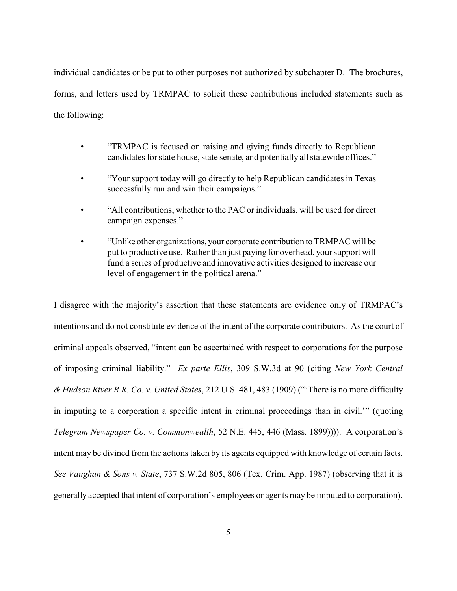individual candidates or be put to other purposes not authorized by subchapter D. The brochures, forms, and letters used by TRMPAC to solicit these contributions included statements such as the following:

- "TRMPAC is focused on raising and giving funds directly to Republican candidates for state house, state senate, and potentially all statewide offices."
- "Your support today will go directly to help Republican candidates in Texas successfully run and win their campaigns."
- "All contributions, whether to the PAC or individuals, will be used for direct campaign expenses."
- "Unlike other organizations, your corporate contribution to TRMPAC will be put to productive use. Rather than just paying for overhead, your support will fund a series of productive and innovative activities designed to increase our level of engagement in the political arena."

I disagree with the majority's assertion that these statements are evidence only of TRMPAC's intentions and do not constitute evidence of the intent of the corporate contributors. As the court of criminal appeals observed, "intent can be ascertained with respect to corporations for the purpose of imposing criminal liability." *Ex parte Ellis*, 309 S.W.3d at 90 (citing *New York Central & Hudson River R.R. Co. v. United States*, 212 U.S. 481, 483 (1909) ("'There is no more difficulty in imputing to a corporation a specific intent in criminal proceedings than in civil.'" (quoting *Telegram Newspaper Co. v. Commonwealth*, 52 N.E. 445, 446 (Mass. 1899)))). A corporation's intent may be divined from the actions taken by its agents equipped with knowledge of certain facts. *See Vaughan & Sons v. State*, 737 S.W.2d 805, 806 (Tex. Crim. App. 1987) (observing that it is generally accepted that intent of corporation's employees or agents may be imputed to corporation).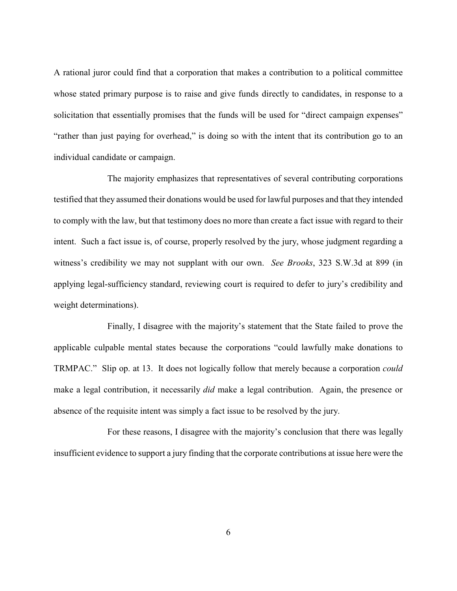A rational juror could find that a corporation that makes a contribution to a political committee whose stated primary purpose is to raise and give funds directly to candidates, in response to a solicitation that essentially promises that the funds will be used for "direct campaign expenses" "rather than just paying for overhead," is doing so with the intent that its contribution go to an individual candidate or campaign.

The majority emphasizes that representatives of several contributing corporations testified that they assumed their donations would be used for lawful purposes and that they intended to comply with the law, but that testimony does no more than create a fact issue with regard to their intent. Such a fact issue is, of course, properly resolved by the jury, whose judgment regarding a witness's credibility we may not supplant with our own. *See Brooks*, 323 S.W.3d at 899 (in applying legal-sufficiency standard, reviewing court is required to defer to jury's credibility and weight determinations).

Finally, I disagree with the majority's statement that the State failed to prove the applicable culpable mental states because the corporations "could lawfully make donations to TRMPAC." Slip op. at 13. It does not logically follow that merely because a corporation *could* make a legal contribution, it necessarily *did* make a legal contribution. Again, the presence or absence of the requisite intent was simply a fact issue to be resolved by the jury.

For these reasons, I disagree with the majority's conclusion that there was legally insufficient evidence to support a jury finding that the corporate contributions at issue here were the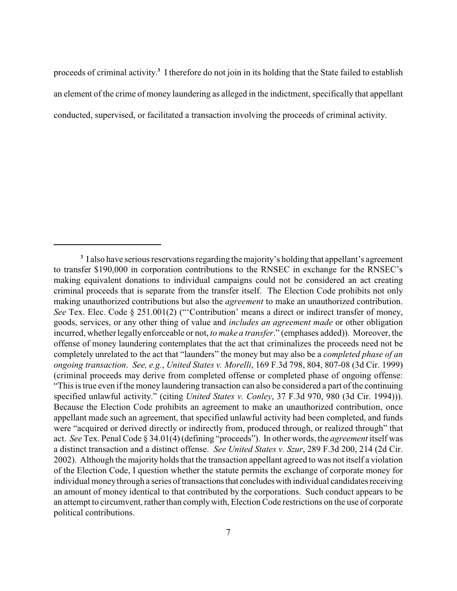proceeds of criminal activity.<sup>3</sup> I therefore do not join in its holding that the State failed to establish an element of the crime of money laundering as alleged in the indictment, specifically that appellant conducted, supervised, or facilitated a transaction involving the proceeds of criminal activity.

<sup>&</sup>lt;sup>3</sup> I also have serious reservations regarding the majority's holding that appellant's agreement to transfer \$190,000 in corporation contributions to the RNSEC in exchange for the RNSEC's making equivalent donations to individual campaigns could not be considered an act creating criminal proceeds that is separate from the transfer itself. The Election Code prohibits not only making unauthorized contributions but also the *agreement* to make an unauthorized contribution. *See* Tex. Elec. Code § 251.001(2) ("Contribution' means a direct or indirect transfer of money, goods, services, or any other thing of value and *includes an agreement made* or other obligation incurred, whether legally enforceable or not, *to make a transfer*." (emphases added)). Moreover, the offense of money laundering contemplates that the act that criminalizes the proceeds need not be completely unrelated to the act that "launders" the money but may also be a *completed phase of an ongoing transaction*. *See, e.g.*, *United States v. Morelli*, 169 F.3d 798, 804, 807-08 (3d Cir. 1999) (criminal proceeds may derive from completed offense or completed phase of ongoing offense: "This is true even if the money laundering transaction can also be considered a part of the continuing specified unlawful activity." (citing *United States v. Conley*, 37 F.3d 970, 980 (3d Cir. 1994))). Because the Election Code prohibits an agreement to make an unauthorized contribution, once appellant made such an agreement, that specified unlawful activity had been completed, and funds were "acquired or derived directly or indirectly from, produced through, or realized through" that act. *See* Tex. Penal Code § 34.01(4) (defining "proceeds"). In other words, the *agreement* itself was a distinct transaction and a distinct offense. *See United States v. Szur*, 289 F.3d 200, 214 (2d Cir. 2002). Although the majority holds that the transaction appellant agreed to was not itself a violation of the Election Code, I question whether the statute permits the exchange of corporate money for individual money through a series of transactions that concludes with individual candidates receiving an amount of money identical to that contributed by the corporations. Such conduct appears to be an attempt to circumvent, rather than complywith, Election Code restrictions on the use of corporate political contributions.